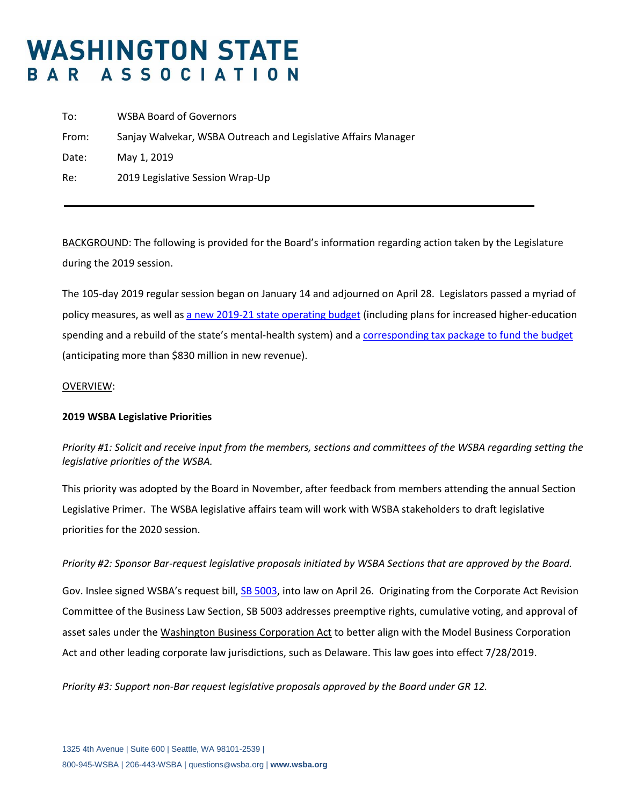# **WASHINGTON STATE** BAR ASSOCIATION

| To:   | <b>WSBA Board of Governors</b>                                 |
|-------|----------------------------------------------------------------|
| From: | Sanjay Walvekar, WSBA Outreach and Legislative Affairs Manager |
| Date: | May 1, 2019                                                    |
| Re:   | 2019 Legislative Session Wrap-Up                               |
|       |                                                                |

BACKGROUND: The following is provided for the Board's information regarding action taken by the Legislature during the 2019 session.

The 105-day 2019 regular session began on January 14 and adjourned on April 28. Legislators passed a myriad of policy measures, as well as [a new 2019-21 state operating budget](http://leap.leg.wa.gov/leap/budget/detail/2019/ho1921p.asp) (including plans for increased higher-education spending and a rebuild of the state's mental-health system) and a [corresponding tax package to fund the budget](https://www.seattletimes.com/seattle-news/politics/here-are-the-taxes-washington-lawmakers-are-voting-to-raise-and-cut/) (anticipating more than \$830 million in new revenue).

#### OVERVIEW:

### **2019 WSBA Legislative Priorities**

*Priority #1: Solicit and receive input from the members, sections and committees of the WSBA regarding setting the legislative priorities of the WSBA.*

This priority was adopted by the Board in November, after feedback from members attending the annual Section Legislative Primer. The WSBA legislative affairs team will work with WSBA stakeholders to draft legislative priorities for the 2020 session.

### *Priority #2: Sponsor Bar-request legislative proposals initiated by WSBA Sections that are approved by the Board.*

Gov. Inslee signed WSBA's request bill, SB [5003,](https://app.leg.wa.gov/billsummary?BillNumber=5003&Year=2019&Initiative=false) into law on April 26. Originating from the Corporate Act Revision Committee of the Business Law Section, SB 5003 addresses preemptive rights, cumulative voting, and approval of asset sales under the [Washington Business Corporation Act](http://apps.leg.wa.gov/rcw/default.aspx?Cite=23B) to better align with the Model Business Corporation Act and other leading corporate law jurisdictions, such as Delaware. This law goes into effect 7/28/2019.

*Priority #3: Support non-Bar request legislative proposals approved by the Board under GR 12.*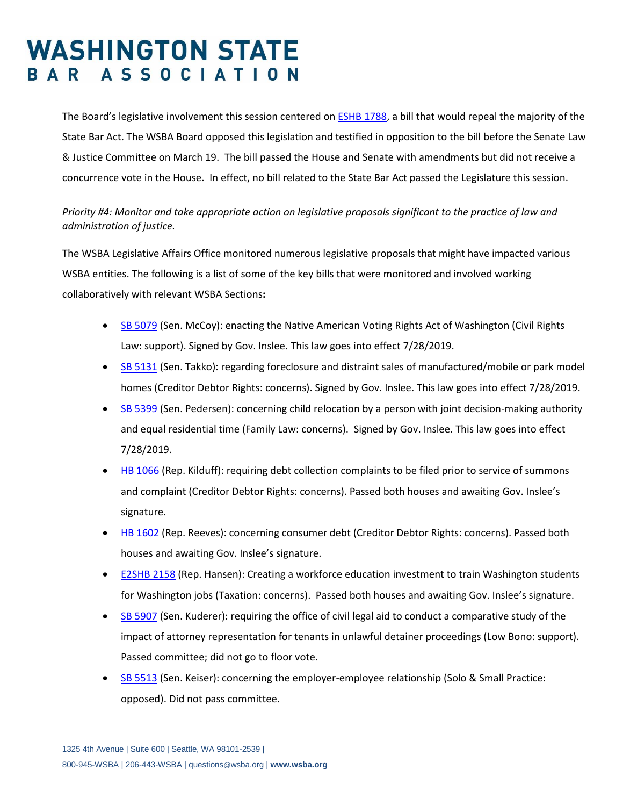## **WASHINGTON STATE** BAR ASSOCIATION

The Board's legislative involvement this session centered on [ESHB 1788,](https://app.leg.wa.gov/billsummary?BillNumber=1788&Initiative=false&Year=2019) a bill that would repeal the majority of the State Bar Act. The WSBA Board opposed this legislation and testified in opposition to the bill before the Senate Law & Justice Committee on March 19. The bill passed the House and Senate with amendments but did not receive a concurrence vote in the House. In effect, no bill related to the State Bar Act passed the Legislature this session.

### *Priority #4: Monitor and take appropriate action on legislative proposals significant to the practice of law and administration of justice.*

The WSBA Legislative Affairs Office monitored numerous legislative proposals that might have impacted various WSBA entities. The following is a list of some of the key bills that were monitored and involved working collaboratively with relevant WSBA Sections**:**

- [SB 5079](https://app.leg.wa.gov/billsummary?BillNumber=5079&Initiative=false&Year=2019) (Sen. McCoy): enacting the Native American Voting Rights Act of Washington (Civil Rights Law: support). Signed by Gov. Inslee. This law goes into effect 7/28/2019.
- [SB 5131](https://app.leg.wa.gov/billsummary?BillNumber=5131&Initiative=false&Year=2019) (Sen. Takko): regarding foreclosure and distraint sales of manufactured/mobile or park model homes (Creditor Debtor Rights: concerns). Signed by Gov. Inslee. This law goes into effect 7/28/2019.
- [SB 5399](https://app.leg.wa.gov/billsummary?BillNumber=5399&Initiative=false&Year=2019) (Sen. Pedersen): concerning child relocation by a person with joint decision-making authority and equal residential time (Family Law: concerns). Signed by Gov. Inslee. This law goes into effect 7/28/2019.
- [HB 1066](https://app.leg.wa.gov/billsummary?BillNumber=1066&Initiative=false&Year=2019) (Rep. Kilduff): requiring debt collection complaints to be filed prior to service of summons and complaint (Creditor Debtor Rights: concerns). Passed both houses and awaiting Gov. Inslee's signature.
- [HB 1602](https://app.leg.wa.gov/billsummary?BillNumber=1602&Initiative=false&Year=2019) (Rep. Reeves): concerning consumer debt (Creditor Debtor Rights: concerns). Passed both houses and awaiting Gov. Inslee's signature.
- [E2SHB 2158](https://app.leg.wa.gov/billsummary?BillNumber=2158&Year=2019&Initiative=false) (Rep. Hansen): Creating a workforce education investment to train Washington students for Washington jobs (Taxation: concerns). Passed both houses and awaiting Gov. Inslee's signature.
- [SB 5907](https://app.leg.wa.gov/billsummary?BillNumber=5907&Initiative=false&Year=2019) (Sen. Kuderer): requiring the office of civil legal aid to conduct a comparative study of the impact of attorney representation for tenants in unlawful detainer proceedings (Low Bono: support). Passed committee; did not go to floor vote.
- [SB 5513](https://app.leg.wa.gov/billsummary?BillNumber=5513&Initiative=false&Year=2019) (Sen. Keiser): concerning the employer-employee relationship (Solo & Small Practice: opposed). Did not pass committee.